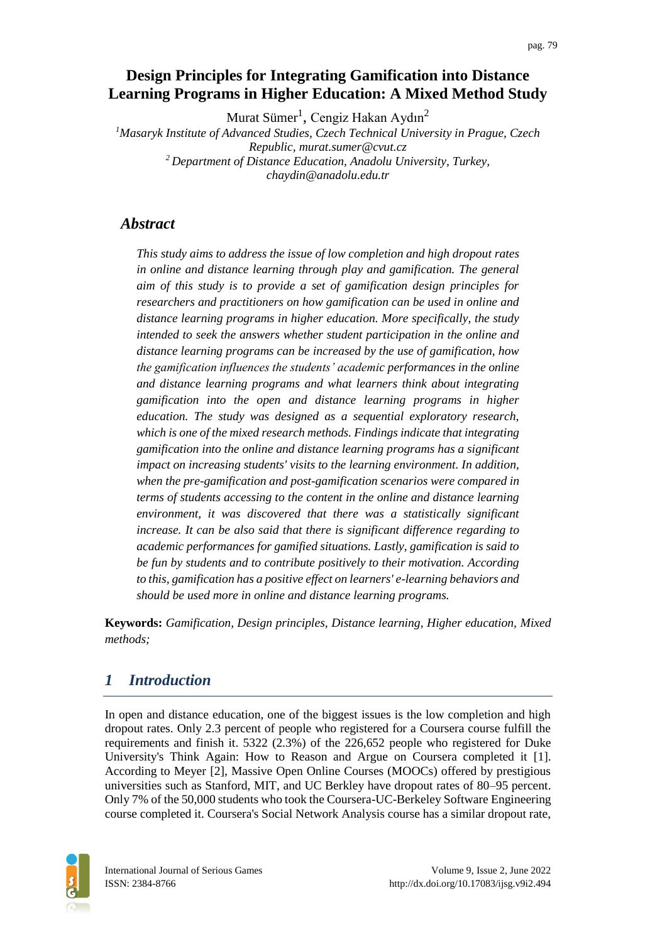## **Design Principles for Integrating Gamification into Distance Learning Programs in Higher Education: A Mixed Method Study**

Murat Sümer<sup>1</sup>, Cengiz Hakan Aydın<sup>2</sup>

*<sup>1</sup>Masaryk Institute of Advanced Studies, Czech Technical University in Prague, Czech Republic, murat.sumer@cvut.cz <sup>2</sup> Department of Distance Education, Anadolu University, Turkey, chaydin@anadolu.edu.tr*

## *Abstract*

*This study aims to address the issue of low completion and high dropout rates*  in online and distance learning through play and gamification. The general *aim of this study is to provide a set of gamification design principles for researchers and practitioners on how gamification can be used in online and distance learning programs in higher education. More specifically, the study intended to seek the answers whether student participation in the online and distance learning programs can be increased by the use of gamification, how the gamification influences the students' academic performances in the online and distance learning programs and what learners think about integrating gamification into the open and distance learning programs in higher education. The study was designed as a sequential exploratory research, which is one of the mixed research methods. Findings indicate that integrating gamification into the online and distance learning programs has a significant impact on increasing students' visits to the learning environment. In addition, when the pre-gamification and post-gamification scenarios were compared in terms of students accessing to the content in the online and distance learning environment, it was discovered that there was a statistically significant increase. It can be also said that there is significant difference regarding to academic performances for gamified situations. Lastly, gamification is said to be fun by students and to contribute positively to their motivation. According to this, gamification has a positive effect on learners' e-learning behaviors and should be used more in online and distance learning programs.*

**Keywords:** *Gamification, Design principles, Distance learning, Higher education, Mixed methods;* 

# *1 Introduction*

In open and distance education, one of the biggest issues is the low completion and high dropout rates. Only 2.3 percent of people who registered for a Coursera course fulfill the requirements and finish it. 5322 (2.3%) of the 226,652 people who registered for Duke University's Think Again: How to Reason and Argue on Coursera completed it [1]. According to Meyer [2], Massive Open Online Courses (MOOCs) offered by prestigious universities such as Stanford, MIT, and UC Berkley have dropout rates of 80–95 percent. Only 7% of the 50,000 students who took the Coursera-UC-Berkeley Software Engineering course completed it. Coursera's Social Network Analysis course has a similar dropout rate,

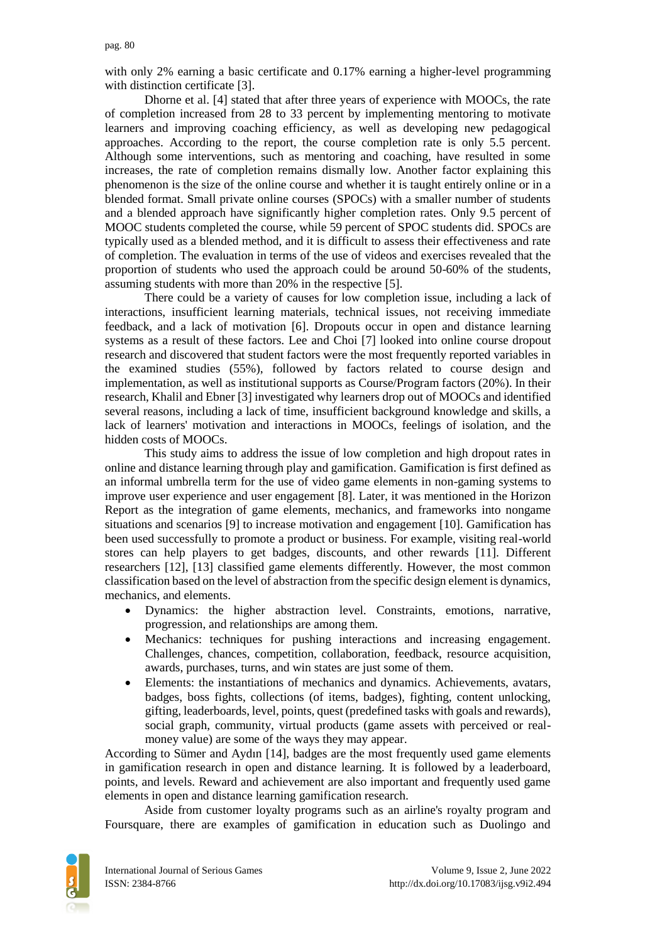with only 2% earning a basic certificate and 0.17% earning a higher-level programming with distinction certificate [3].

Dhorne et al. [4] stated that after three years of experience with MOOCs, the rate of completion increased from 28 to 33 percent by implementing mentoring to motivate learners and improving coaching efficiency, as well as developing new pedagogical approaches. According to the report, the course completion rate is only 5.5 percent. Although some interventions, such as mentoring and coaching, have resulted in some increases, the rate of completion remains dismally low. Another factor explaining this phenomenon is the size of the online course and whether it is taught entirely online or in a blended format. Small private online courses (SPOCs) with a smaller number of students and a blended approach have significantly higher completion rates. Only 9.5 percent of MOOC students completed the course, while 59 percent of SPOC students did. SPOCs are typically used as a blended method, and it is difficult to assess their effectiveness and rate of completion. The evaluation in terms of the use of videos and exercises revealed that the proportion of students who used the approach could be around 50-60% of the students, assuming students with more than 20% in the respective [5].

There could be a variety of causes for low completion issue, including a lack of interactions, insufficient learning materials, technical issues, not receiving immediate feedback, and a lack of motivation [6]. Dropouts occur in open and distance learning systems as a result of these factors. Lee and Choi [7] looked into online course dropout research and discovered that student factors were the most frequently reported variables in the examined studies (55%), followed by factors related to course design and implementation, as well as institutional supports as Course/Program factors (20%). In their research, Khalil and Ebner [3] investigated why learners drop out of MOOCs and identified several reasons, including a lack of time, insufficient background knowledge and skills, a lack of learners' motivation and interactions in MOOCs, feelings of isolation, and the hidden costs of MOOCs.

This study aims to address the issue of low completion and high dropout rates in online and distance learning through play and gamification. Gamification is first defined as an informal umbrella term for the use of video game elements in non-gaming systems to improve user experience and user engagement [8]. Later, it was mentioned in the Horizon Report as the integration of game elements, mechanics, and frameworks into nongame situations and scenarios [9] to increase motivation and engagement [10]. Gamification has been used successfully to promote a product or business. For example, visiting real-world stores can help players to get badges, discounts, and other rewards [11]. Different researchers [12], [13] classified game elements differently. However, the most common classification based on the level of abstraction from the specific design element is dynamics, mechanics, and elements.

- Dynamics: the higher abstraction level. Constraints, emotions, narrative, progression, and relationships are among them.
- Mechanics: techniques for pushing interactions and increasing engagement. Challenges, chances, competition, collaboration, feedback, resource acquisition, awards, purchases, turns, and win states are just some of them.
- Elements: the instantiations of mechanics and dynamics. Achievements, avatars, badges, boss fights, collections (of items, badges), fighting, content unlocking, gifting, leaderboards, level, points, quest (predefined tasks with goals and rewards), social graph, community, virtual products (game assets with perceived or realmoney value) are some of the ways they may appear.

According to Sümer and Aydın [14], badges are the most frequently used game elements in gamification research in open and distance learning. It is followed by a leaderboard, points, and levels. Reward and achievement are also important and frequently used game elements in open and distance learning gamification research.

Aside from customer loyalty programs such as an airline's royalty program and Foursquare, there are examples of gamification in education such as Duolingo and

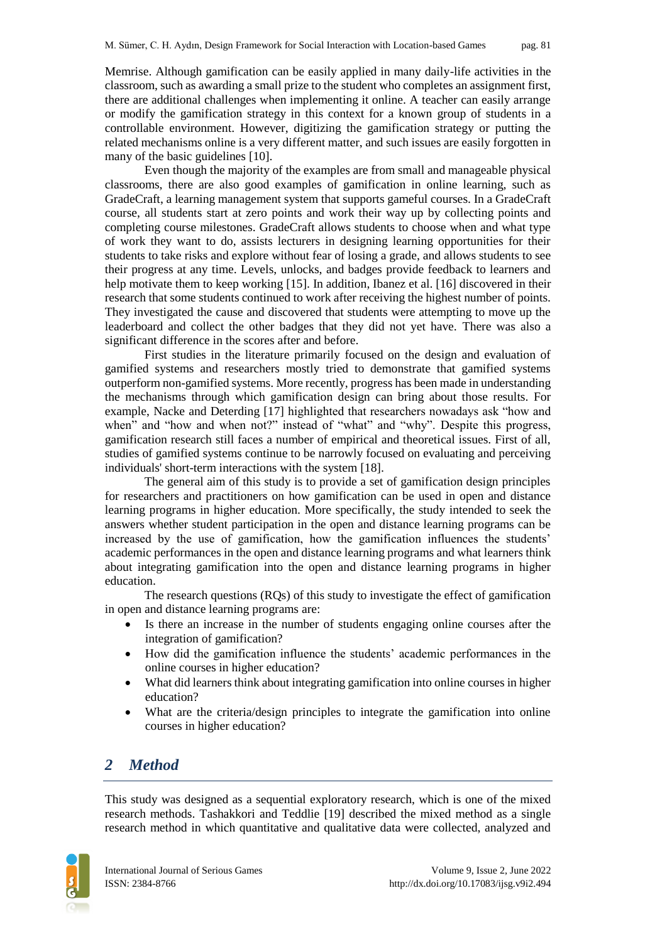Memrise. Although gamification can be easily applied in many daily-life activities in the classroom, such as awarding a small prize to the student who completes an assignment first, there are additional challenges when implementing it online. A teacher can easily arrange or modify the gamification strategy in this context for a known group of students in a controllable environment. However, digitizing the gamification strategy or putting the related mechanisms online is a very different matter, and such issues are easily forgotten in many of the basic guidelines [10].

Even though the majority of the examples are from small and manageable physical classrooms, there are also good examples of gamification in online learning, such as GradeCraft, a learning management system that supports gameful courses. In a GradeCraft course, all students start at zero points and work their way up by collecting points and completing course milestones. GradeCraft allows students to choose when and what type of work they want to do, assists lecturers in designing learning opportunities for their students to take risks and explore without fear of losing a grade, and allows students to see their progress at any time. Levels, unlocks, and badges provide feedback to learners and help motivate them to keep working [15]. In addition, Ibanez et al. [16] discovered in their research that some students continued to work after receiving the highest number of points. They investigated the cause and discovered that students were attempting to move up the leaderboard and collect the other badges that they did not yet have. There was also a significant difference in the scores after and before.

First studies in the literature primarily focused on the design and evaluation of gamified systems and researchers mostly tried to demonstrate that gamified systems outperform non-gamified systems. More recently, progress has been made in understanding the mechanisms through which gamification design can bring about those results. For example, Nacke and Deterding [17] highlighted that researchers nowadays ask "how and when" and "how and when not?" instead of "what" and "why". Despite this progress, gamification research still faces a number of empirical and theoretical issues. First of all, studies of gamified systems continue to be narrowly focused on evaluating and perceiving individuals' short-term interactions with the system [18].

The general aim of this study is to provide a set of gamification design principles for researchers and practitioners on how gamification can be used in open and distance learning programs in higher education. More specifically, the study intended to seek the answers whether student participation in the open and distance learning programs can be increased by the use of gamification, how the gamification influences the students' academic performances in the open and distance learning programs and what learners think about integrating gamification into the open and distance learning programs in higher education.

The research questions (RQs) of this study to investigate the effect of gamification in open and distance learning programs are:

- Is there an increase in the number of students engaging online courses after the integration of gamification?
- How did the gamification influence the students' academic performances in the online courses in higher education?
- What did learners think about integrating gamification into online courses in higher education?
- What are the criteria/design principles to integrate the gamification into online courses in higher education?

# *2 Method*

This study was designed as a sequential exploratory research, which is one of the mixed research methods. Tashakkori and Teddlie [19] described the mixed method as a single research method in which quantitative and qualitative data were collected, analyzed and

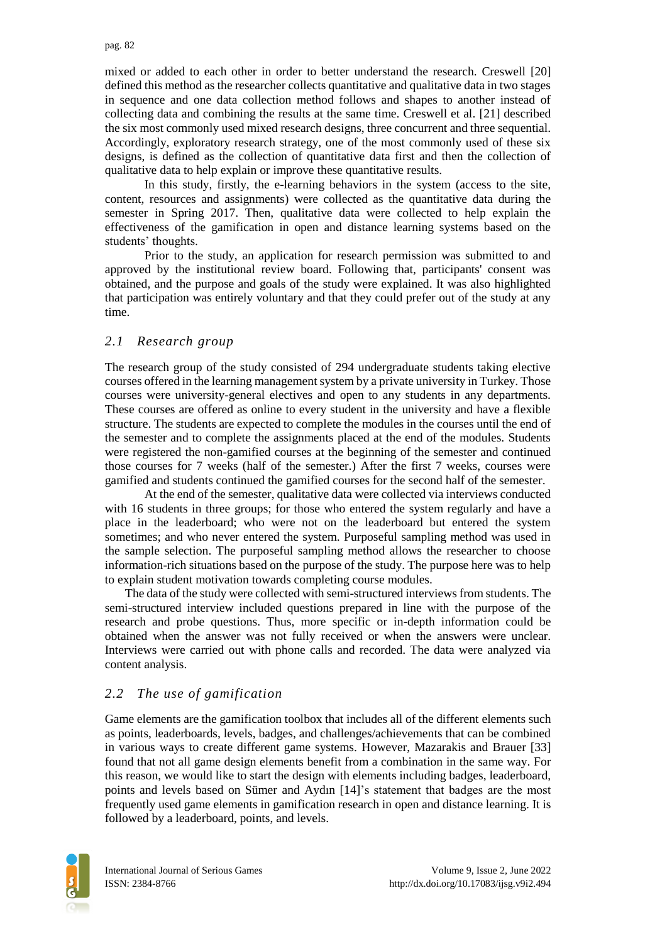mixed or added to each other in order to better understand the research. Creswell [20] defined this method as the researcher collects quantitative and qualitative data in two stages in sequence and one data collection method follows and shapes to another instead of collecting data and combining the results at the same time. Creswell et al. [21] described the six most commonly used mixed research designs, three concurrent and three sequential. Accordingly, exploratory research strategy, one of the most commonly used of these six designs, is defined as the collection of quantitative data first and then the collection of qualitative data to help explain or improve these quantitative results.

In this study, firstly, the e-learning behaviors in the system (access to the site, content, resources and assignments) were collected as the quantitative data during the semester in Spring 2017. Then, qualitative data were collected to help explain the effectiveness of the gamification in open and distance learning systems based on the students' thoughts.

Prior to the study, an application for research permission was submitted to and approved by the institutional review board. Following that, participants' consent was obtained, and the purpose and goals of the study were explained. It was also highlighted that participation was entirely voluntary and that they could prefer out of the study at any time.

#### *2.1 Research group*

The research group of the study consisted of 294 undergraduate students taking elective courses offered in the learning management system by a private university in Turkey. Those courses were university-general electives and open to any students in any departments. These courses are offered as online to every student in the university and have a flexible structure. The students are expected to complete the modules in the courses until the end of the semester and to complete the assignments placed at the end of the modules. Students were registered the non-gamified courses at the beginning of the semester and continued those courses for 7 weeks (half of the semester.) After the first 7 weeks, courses were gamified and students continued the gamified courses for the second half of the semester.

At the end of the semester, qualitative data were collected via interviews conducted with 16 students in three groups; for those who entered the system regularly and have a place in the leaderboard; who were not on the leaderboard but entered the system sometimes; and who never entered the system. Purposeful sampling method was used in the sample selection. The purposeful sampling method allows the researcher to choose information-rich situations based on the purpose of the study. The purpose here was to help to explain student motivation towards completing course modules.

The data of the study were collected with semi-structured interviews from students. The semi-structured interview included questions prepared in line with the purpose of the research and probe questions. Thus, more specific or in-depth information could be obtained when the answer was not fully received or when the answers were unclear. Interviews were carried out with phone calls and recorded. The data were analyzed via content analysis.

#### *2.2 The use of gamification*

Game elements are the gamification toolbox that includes all of the different elements such as points, leaderboards, levels, badges, and challenges/achievements that can be combined in various ways to create different game systems. However, Mazarakis and Brauer [33] found that not all game design elements benefit from a combination in the same way. For this reason, we would like to start the design with elements including badges, leaderboard, points and levels based on Sümer and Aydın [14]'s statement that badges are the most frequently used game elements in gamification research in open and distance learning. It is followed by a leaderboard, points, and levels.

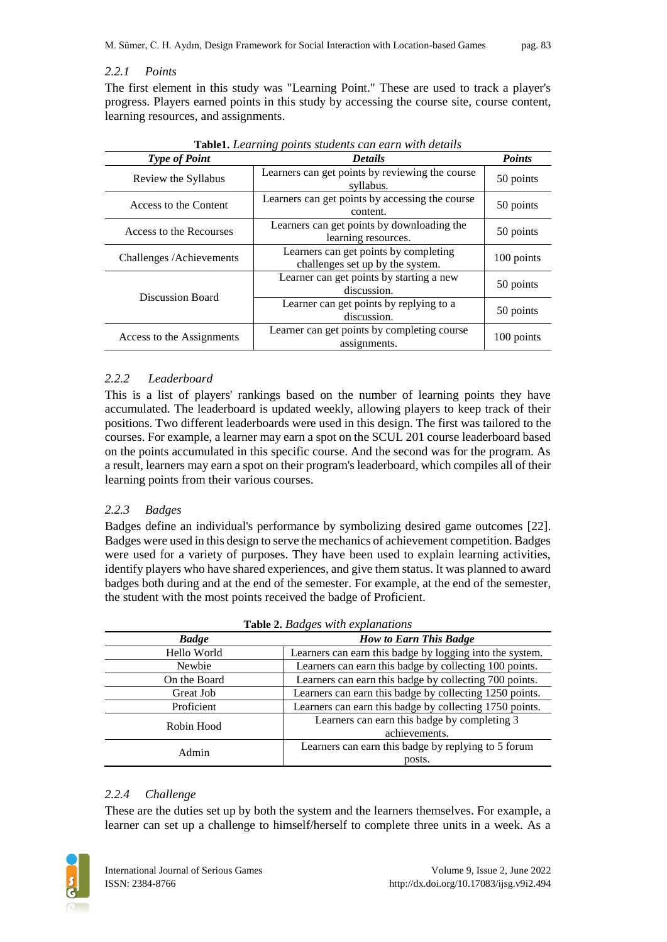#### *2.2.1 Points*

The first element in this study was "Learning Point." These are used to track a player's progress. Players earned points in this study by accessing the course site, course content, learning resources, and assignments.

| <b>TableT.</b> Learning points sinuents can carn with actuals |                                                                           |               |  |  |  |  |
|---------------------------------------------------------------|---------------------------------------------------------------------------|---------------|--|--|--|--|
| <b>Type of Point</b>                                          | <b>Details</b>                                                            | <b>Points</b> |  |  |  |  |
| Review the Syllabus                                           | Learners can get points by reviewing the course<br>syllabus.              | 50 points     |  |  |  |  |
| Access to the Content                                         | Learners can get points by accessing the course<br>content.               | 50 points     |  |  |  |  |
| Access to the Recourses                                       | Learners can get points by downloading the<br>learning resources.         | 50 points     |  |  |  |  |
| Challenges / Achievements                                     | Learners can get points by completing<br>challenges set up by the system. | 100 points    |  |  |  |  |
| Discussion Board                                              | Learner can get points by starting a new<br>discussion.                   | 50 points     |  |  |  |  |
|                                                               | Learner can get points by replying to a<br>discussion.                    | 50 points     |  |  |  |  |
| Access to the Assignments                                     | Learner can get points by completing course<br>assignments.               |               |  |  |  |  |

**Table1.** *Learning points students can earn with details*

#### *2.2.2 Leaderboard*

This is a list of players' rankings based on the number of learning points they have accumulated. The leaderboard is updated weekly, allowing players to keep track of their positions. Two different leaderboards were used in this design. The first was tailored to the courses. For example, a learner may earn a spot on the SCUL 201 course leaderboard based on the points accumulated in this specific course. And the second was for the program. As a result, learners may earn a spot on their program's leaderboard, which compiles all of their learning points from their various courses.

### *2.2.3 Badges*

Badges define an individual's performance by symbolizing desired game outcomes [22]. Badges were used in this design to serve the mechanics of achievement competition. Badges were used for a variety of purposes. They have been used to explain learning activities, identify players who have shared experiences, and give them status. It was planned to award badges both during and at the end of the semester. For example, at the end of the semester, the student with the most points received the badge of Proficient.

| <b>Table 2. Baages with explanations</b> |                                                          |  |  |  |  |
|------------------------------------------|----------------------------------------------------------|--|--|--|--|
| <b>Badge</b>                             | <b>How to Earn This Badge</b>                            |  |  |  |  |
| Hello World                              | Learners can earn this badge by logging into the system. |  |  |  |  |
| Newbie                                   | Learners can earn this badge by collecting 100 points.   |  |  |  |  |
| On the Board                             | Learners can earn this badge by collecting 700 points.   |  |  |  |  |
| Great Job                                | Learners can earn this badge by collecting 1250 points.  |  |  |  |  |
| Proficient                               | Learners can earn this badge by collecting 1750 points.  |  |  |  |  |
| Robin Hood                               | Learners can earn this badge by completing 3             |  |  |  |  |
|                                          | achievements.                                            |  |  |  |  |
| Admin                                    | Learners can earn this badge by replying to 5 forum      |  |  |  |  |
|                                          | posts.                                                   |  |  |  |  |

|  |  | Table 2. Badges with explanations |
|--|--|-----------------------------------|
|  |  |                                   |

#### *2.2.4 Challenge*

These are the duties set up by both the system and the learners themselves. For example, a learner can set up a challenge to himself/herself to complete three units in a week. As a

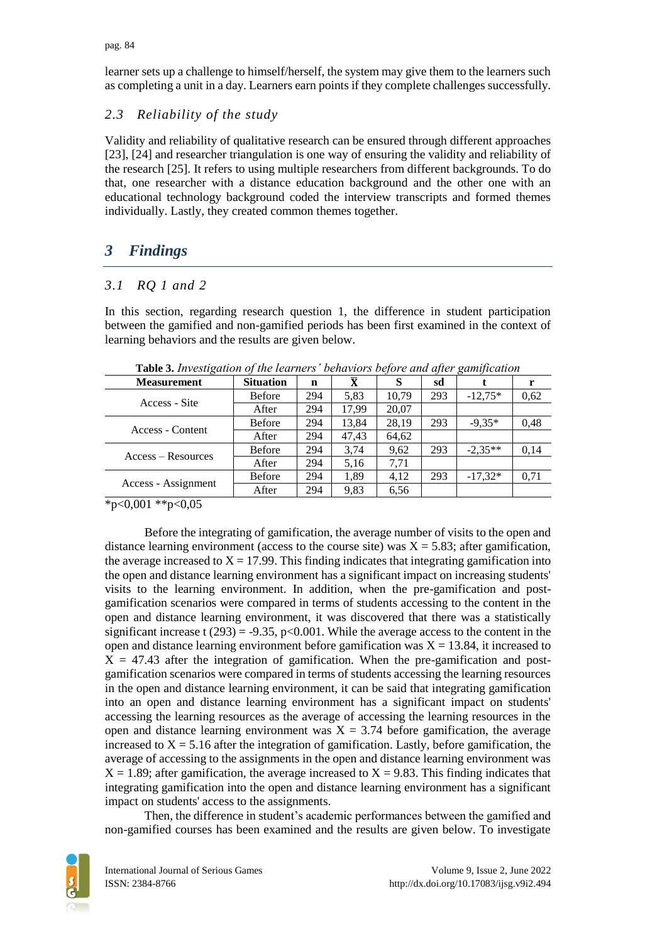learner sets up a challenge to himself/herself, the system may give them to the learners such as completing a unit in a day. Learners earn points if they complete challenges successfully.

### *2.3 Reliability of the study*

Validity and reliability of qualitative research can be ensured through different approaches [23], [24] and researcher triangulation is one way of ensuring the validity and reliability of the research [25]. It refers to using multiple researchers from different backgrounds. To do that, one researcher with a distance education background and the other one with an educational technology background coded the interview transcripts and formed themes individually. Lastly, they created common themes together.

# *3 Findings*

## *3.1 RQ 1 and 2*

In this section, regarding research question 1, the difference in student participation between the gamified and non-gamified periods has been first examined in the context of learning behaviors and the results are given below.

| <b>Table 3.</b> Investigation of the tearners benaviors before and after gammentum |                  |     |       |       |     |           |      |
|------------------------------------------------------------------------------------|------------------|-----|-------|-------|-----|-----------|------|
| <b>Measurement</b>                                                                 | <b>Situation</b> | n   | X     | S     | sd  |           | r    |
| Access - Site                                                                      | <b>Before</b>    | 294 | 5,83  | 10.79 | 293 | $-12.75*$ | 0.62 |
|                                                                                    | After            | 294 | 17.99 | 20,07 |     |           |      |
| Access - Content                                                                   | <b>Before</b>    | 294 | 13,84 | 28,19 | 293 | $-9.35*$  | 0,48 |
|                                                                                    | After            | 294 | 47,43 | 64,62 |     |           |      |
| $Access - Resources$                                                               | <b>Before</b>    | 294 | 3,74  | 9,62  | 293 | $-2.35**$ | 0,14 |
|                                                                                    | After            | 294 | 5,16  | 7.71  |     |           |      |
| Access - Assignment                                                                | <b>Before</b>    | 294 | 1,89  | 4.12  | 293 | $-17.32*$ | 0,71 |
|                                                                                    | After            | 294 | 9,83  | 6,56  |     |           |      |

**Table 3.** *Investigation of the learners' behaviors before and after gamification*

\*p<0,001 \*\*p<0,05

Before the integrating of gamification, the average number of visits to the open and distance learning environment (access to the course site) was  $X = 5.83$ ; after gamification, the average increased to  $X = 17.99$ . This finding indicates that integrating gamification into the open and distance learning environment has a significant impact on increasing students' visits to the learning environment. In addition, when the pre-gamification and postgamification scenarios were compared in terms of students accessing to the content in the open and distance learning environment, it was discovered that there was a statistically significant increase t (293) = -9.35, p<0.001. While the average access to the content in the open and distance learning environment before gamification was  $X = 13.84$ , it increased to  $X = 47.43$  after the integration of gamification. When the pre-gamification and postgamification scenarios were compared in terms of students accessing the learning resources in the open and distance learning environment, it can be said that integrating gamification into an open and distance learning environment has a significant impact on students' accessing the learning resources as the average of accessing the learning resources in the open and distance learning environment was  $X = 3.74$  before gamification, the average increased to  $X = 5.16$  after the integration of gamification. Lastly, before gamification, the average of accessing to the assignments in the open and distance learning environment was  $X = 1.89$ ; after gamification, the average increased to  $X = 9.83$ . This finding indicates that integrating gamification into the open and distance learning environment has a significant impact on students' access to the assignments.

Then, the difference in student's academic performances between the gamified and non-gamified courses has been examined and the results are given below. To investigate

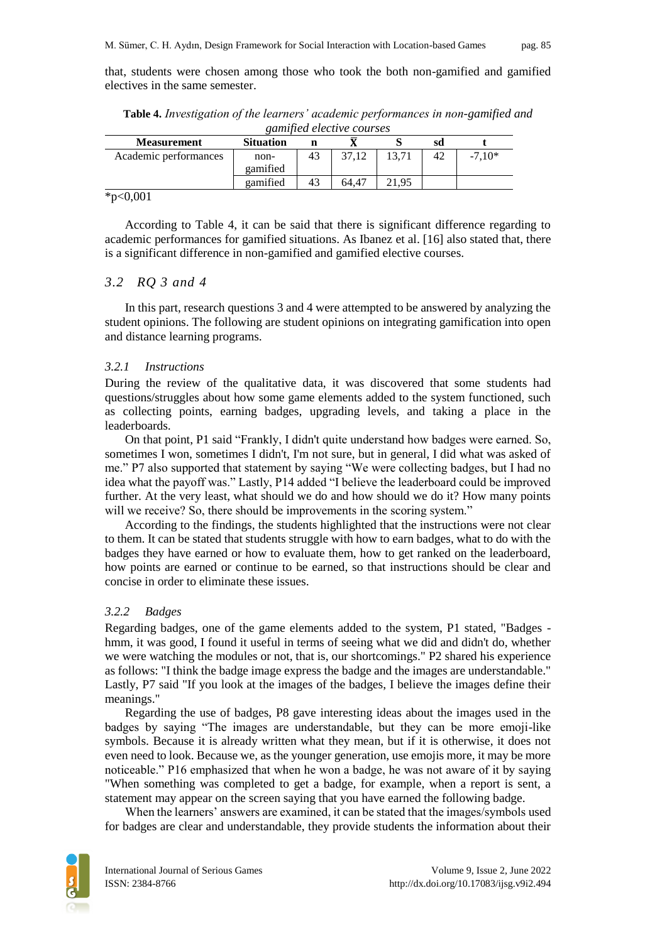that, students were chosen among those who took the both non-gamified and gamified electives in the same semester.

**Table 4.** *Investigation of the learners' academic performances in non-gamified and gamified elective courses*

| <b>Measurement</b>    | <b>Situation</b> |    |       |       | sd |          |  |
|-----------------------|------------------|----|-------|-------|----|----------|--|
| Academic performances | non-             | 43 | 37.12 |       |    | $-7.10*$ |  |
|                       | gamified         |    |       |       |    |          |  |
|                       | gamified         | 43 | 64.47 | 21.95 |    |          |  |
| $\sim$ 0.001          |                  |    |       |       |    |          |  |

 $*p<0,001$ 

According to Table 4, it can be said that there is significant difference regarding to academic performances for gamified situations. As Ibanez et al. [16] also stated that, there is a significant difference in non-gamified and gamified elective courses.

#### *3.2 RQ 3 and 4*

In this part, research questions 3 and 4 were attempted to be answered by analyzing the student opinions. The following are student opinions on integrating gamification into open and distance learning programs.

#### *3.2.1 Instructions*

During the review of the qualitative data, it was discovered that some students had questions/struggles about how some game elements added to the system functioned, such as collecting points, earning badges, upgrading levels, and taking a place in the leaderboards.

On that point, P1 said "Frankly, I didn't quite understand how badges were earned. So, sometimes I won, sometimes I didn't, I'm not sure, but in general, I did what was asked of me." P7 also supported that statement by saying "We were collecting badges, but I had no idea what the payoff was." Lastly, P14 added "I believe the leaderboard could be improved further. At the very least, what should we do and how should we do it? How many points will we receive? So, there should be improvements in the scoring system."

According to the findings, the students highlighted that the instructions were not clear to them. It can be stated that students struggle with how to earn badges, what to do with the badges they have earned or how to evaluate them, how to get ranked on the leaderboard, how points are earned or continue to be earned, so that instructions should be clear and concise in order to eliminate these issues.

#### *3.2.2 Badges*

Regarding badges, one of the game elements added to the system, P1 stated, "Badges hmm, it was good, I found it useful in terms of seeing what we did and didn't do, whether we were watching the modules or not, that is, our shortcomings." P2 shared his experience as follows: "I think the badge image express the badge and the images are understandable." Lastly, P7 said "If you look at the images of the badges, I believe the images define their meanings."

Regarding the use of badges, P8 gave interesting ideas about the images used in the badges by saying "The images are understandable, but they can be more emoji-like symbols. Because it is already written what they mean, but if it is otherwise, it does not even need to look. Because we, as the younger generation, use emojis more, it may be more noticeable." P16 emphasized that when he won a badge, he was not aware of it by saying "When something was completed to get a badge, for example, when a report is sent, a statement may appear on the screen saying that you have earned the following badge.

When the learners' answers are examined, it can be stated that the images/symbols used for badges are clear and understandable, they provide students the information about their

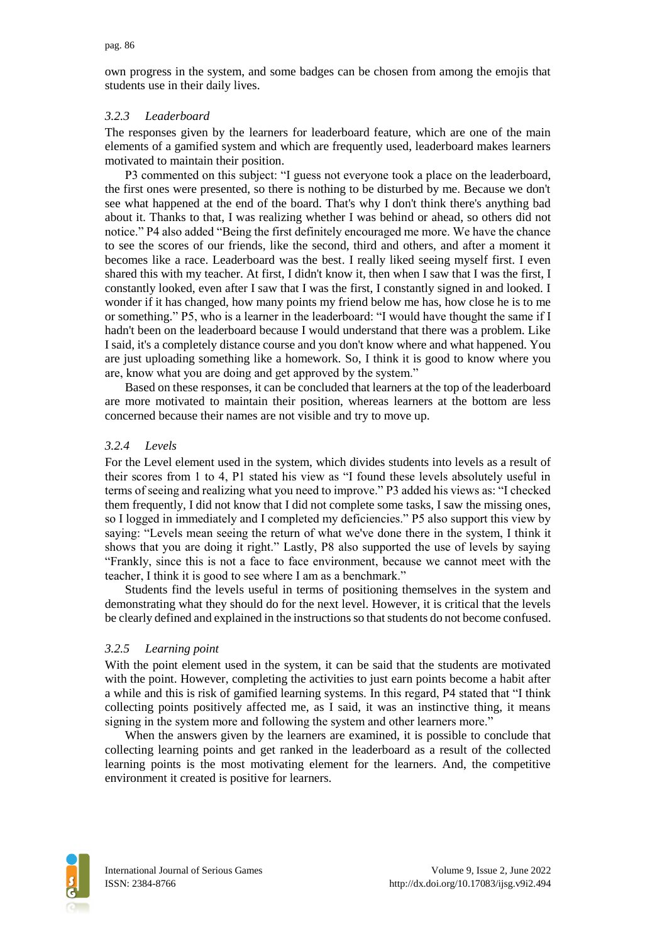own progress in the system, and some badges can be chosen from among the emojis that students use in their daily lives.

#### *3.2.3 Leaderboard*

The responses given by the learners for leaderboard feature, which are one of the main elements of a gamified system and which are frequently used, leaderboard makes learners motivated to maintain their position.

P3 commented on this subject: "I guess not everyone took a place on the leaderboard, the first ones were presented, so there is nothing to be disturbed by me. Because we don't see what happened at the end of the board. That's why I don't think there's anything bad about it. Thanks to that, I was realizing whether I was behind or ahead, so others did not notice." P4 also added "Being the first definitely encouraged me more. We have the chance to see the scores of our friends, like the second, third and others, and after a moment it becomes like a race. Leaderboard was the best. I really liked seeing myself first. I even shared this with my teacher. At first, I didn't know it, then when I saw that I was the first, I constantly looked, even after I saw that I was the first, I constantly signed in and looked. I wonder if it has changed, how many points my friend below me has, how close he is to me or something." P5, who is a learner in the leaderboard: "I would have thought the same if I hadn't been on the leaderboard because I would understand that there was a problem. Like I said, it's a completely distance course and you don't know where and what happened. You are just uploading something like a homework. So, I think it is good to know where you are, know what you are doing and get approved by the system."

Based on these responses, it can be concluded that learners at the top of the leaderboard are more motivated to maintain their position, whereas learners at the bottom are less concerned because their names are not visible and try to move up.

#### *3.2.4 Levels*

For the Level element used in the system, which divides students into levels as a result of their scores from 1 to 4, P1 stated his view as "I found these levels absolutely useful in terms of seeing and realizing what you need to improve." P3 added his views as: "I checked them frequently, I did not know that I did not complete some tasks, I saw the missing ones, so I logged in immediately and I completed my deficiencies." P5 also support this view by saying: "Levels mean seeing the return of what we've done there in the system, I think it shows that you are doing it right." Lastly, P8 also supported the use of levels by saying "Frankly, since this is not a face to face environment, because we cannot meet with the teacher, I think it is good to see where I am as a benchmark."

Students find the levels useful in terms of positioning themselves in the system and demonstrating what they should do for the next level. However, it is critical that the levels be clearly defined and explained in the instructions so that students do not become confused.

#### *3.2.5 Learning point*

With the point element used in the system, it can be said that the students are motivated with the point. However, completing the activities to just earn points become a habit after a while and this is risk of gamified learning systems. In this regard, P4 stated that "I think collecting points positively affected me, as I said, it was an instinctive thing, it means signing in the system more and following the system and other learners more."

When the answers given by the learners are examined, it is possible to conclude that collecting learning points and get ranked in the leaderboard as a result of the collected learning points is the most motivating element for the learners. And, the competitive environment it created is positive for learners.

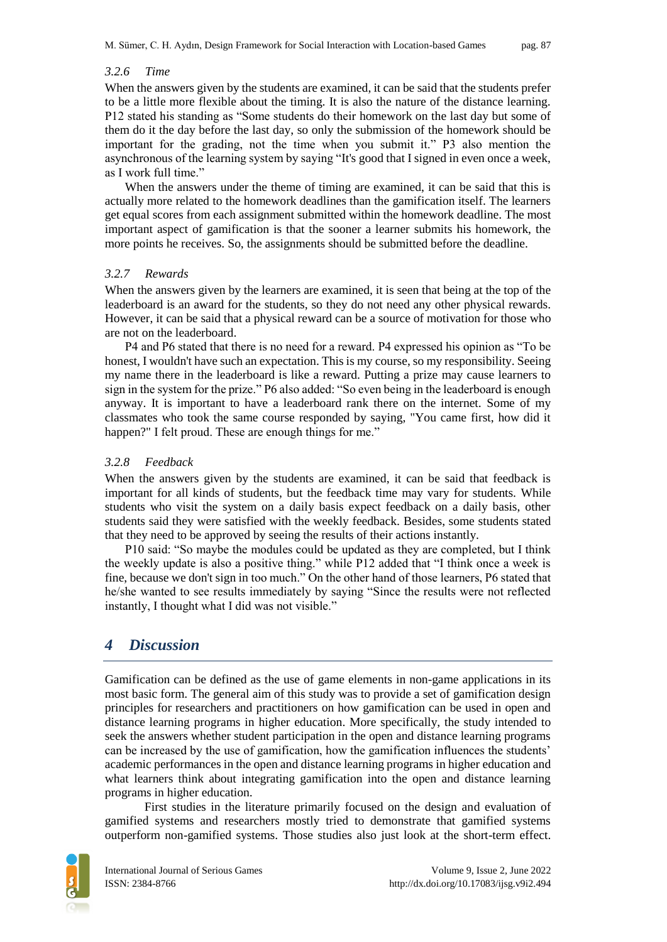#### *3.2.6 Time*

When the answers given by the students are examined, it can be said that the students prefer to be a little more flexible about the timing. It is also the nature of the distance learning. P12 stated his standing as "Some students do their homework on the last day but some of them do it the day before the last day, so only the submission of the homework should be important for the grading, not the time when you submit it." P3 also mention the asynchronous of the learning system by saying "It's good that I signed in even once a week, as I work full time."

When the answers under the theme of timing are examined, it can be said that this is actually more related to the homework deadlines than the gamification itself. The learners get equal scores from each assignment submitted within the homework deadline. The most important aspect of gamification is that the sooner a learner submits his homework, the more points he receives. So, the assignments should be submitted before the deadline.

#### *3.2.7 Rewards*

When the answers given by the learners are examined, it is seen that being at the top of the leaderboard is an award for the students, so they do not need any other physical rewards. However, it can be said that a physical reward can be a source of motivation for those who are not on the leaderboard.

P4 and P6 stated that there is no need for a reward. P4 expressed his opinion as "To be honest, I wouldn't have such an expectation. This is my course, so my responsibility. Seeing my name there in the leaderboard is like a reward. Putting a prize may cause learners to sign in the system for the prize." P6 also added: "So even being in the leaderboard is enough anyway. It is important to have a leaderboard rank there on the internet. Some of my classmates who took the same course responded by saying, "You came first, how did it happen?" I felt proud. These are enough things for me."

#### *3.2.8 Feedback*

When the answers given by the students are examined, it can be said that feedback is important for all kinds of students, but the feedback time may vary for students. While students who visit the system on a daily basis expect feedback on a daily basis, other students said they were satisfied with the weekly feedback. Besides, some students stated that they need to be approved by seeing the results of their actions instantly.

P10 said: "So maybe the modules could be updated as they are completed, but I think the weekly update is also a positive thing." while P12 added that "I think once a week is fine, because we don't sign in too much." On the other hand of those learners, P6 stated that he/she wanted to see results immediately by saying "Since the results were not reflected instantly, I thought what I did was not visible."

## *4 Discussion*

Gamification can be defined as the use of game elements in non-game applications in its most basic form. The general aim of this study was to provide a set of gamification design principles for researchers and practitioners on how gamification can be used in open and distance learning programs in higher education. More specifically, the study intended to seek the answers whether student participation in the open and distance learning programs can be increased by the use of gamification, how the gamification influences the students' academic performances in the open and distance learning programs in higher education and what learners think about integrating gamification into the open and distance learning programs in higher education.

First studies in the literature primarily focused on the design and evaluation of gamified systems and researchers mostly tried to demonstrate that gamified systems outperform non-gamified systems. Those studies also just look at the short-term effect.

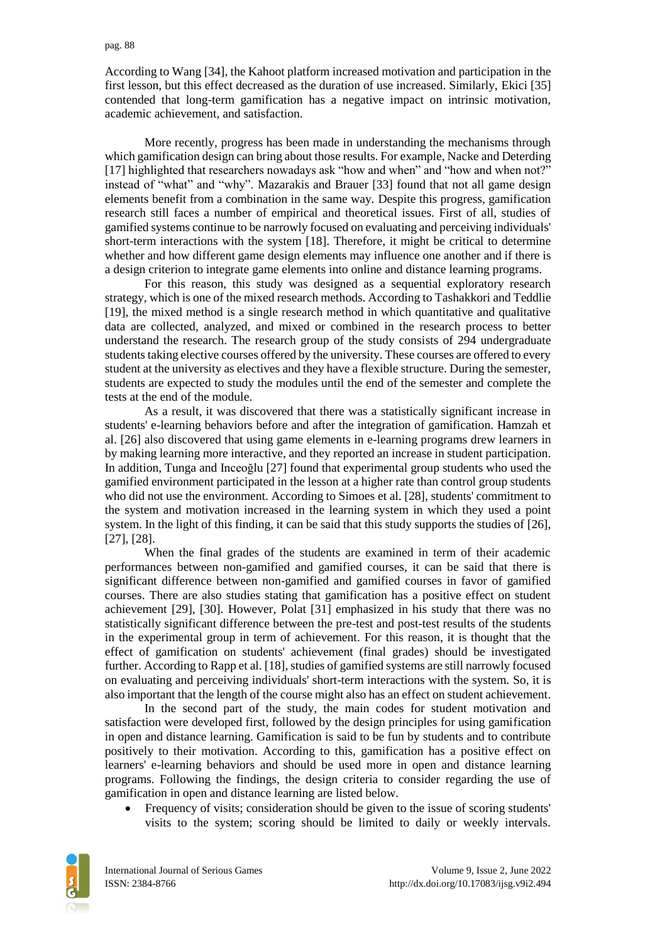According to Wang [34], the Kahoot platform increased motivation and participation in the first lesson, but this effect decreased as the duration of use increased. Similarly, Ekici [35] contended that long-term gamification has a negative impact on intrinsic motivation, academic achievement, and satisfaction.

More recently, progress has been made in understanding the mechanisms through which gamification design can bring about those results. For example, Nacke and Deterding [17] highlighted that researchers nowadays ask "how and when" and "how and when not?" instead of "what" and "why". Mazarakis and Brauer [33] found that not all game design elements benefit from a combination in the same way. Despite this progress, gamification research still faces a number of empirical and theoretical issues. First of all, studies of gamified systems continue to be narrowly focused on evaluating and perceiving individuals' short-term interactions with the system [18]. Therefore, it might be critical to determine whether and how different game design elements may influence one another and if there is a design criterion to integrate game elements into online and distance learning programs.

For this reason, this study was designed as a sequential exploratory research strategy, which is one of the mixed research methods. According to Tashakkori and Teddlie [19], the mixed method is a single research method in which quantitative and qualitative data are collected, analyzed, and mixed or combined in the research process to better understand the research. The research group of the study consists of 294 undergraduate students taking elective courses offered by the university. These courses are offered to every student at the university as electives and they have a flexible structure. During the semester, students are expected to study the modules until the end of the semester and complete the tests at the end of the module.

As a result, it was discovered that there was a statistically significant increase in students' e-learning behaviors before and after the integration of gamification. Hamzah et al. [26] also discovered that using game elements in e-learning programs drew learners in by making learning more interactive, and they reported an increase in student participation. In addition, Tunga and Inceoğlu [27] found that experimental group students who used the gamified environment participated in the lesson at a higher rate than control group students who did not use the environment. According to Simoes et al. [28], students' commitment to the system and motivation increased in the learning system in which they used a point system. In the light of this finding, it can be said that this study supports the studies of [26], [27], [28].

When the final grades of the students are examined in term of their academic performances between non-gamified and gamified courses, it can be said that there is significant difference between non-gamified and gamified courses in favor of gamified courses. There are also studies stating that gamification has a positive effect on student achievement [29], [30]. However, Polat [31] emphasized in his study that there was no statistically significant difference between the pre-test and post-test results of the students in the experimental group in term of achievement. For this reason, it is thought that the effect of gamification on students' achievement (final grades) should be investigated further. According to Rapp et al. [18], studies of gamified systems are still narrowly focused on evaluating and perceiving individuals' short-term interactions with the system. So, it is also important that the length of the course might also has an effect on student achievement.

In the second part of the study, the main codes for student motivation and satisfaction were developed first, followed by the design principles for using gamification in open and distance learning. Gamification is said to be fun by students and to contribute positively to their motivation. According to this, gamification has a positive effect on learners' e-learning behaviors and should be used more in open and distance learning programs. Following the findings, the design criteria to consider regarding the use of gamification in open and distance learning are listed below.

 Frequency of visits; consideration should be given to the issue of scoring students' visits to the system; scoring should be limited to daily or weekly intervals.

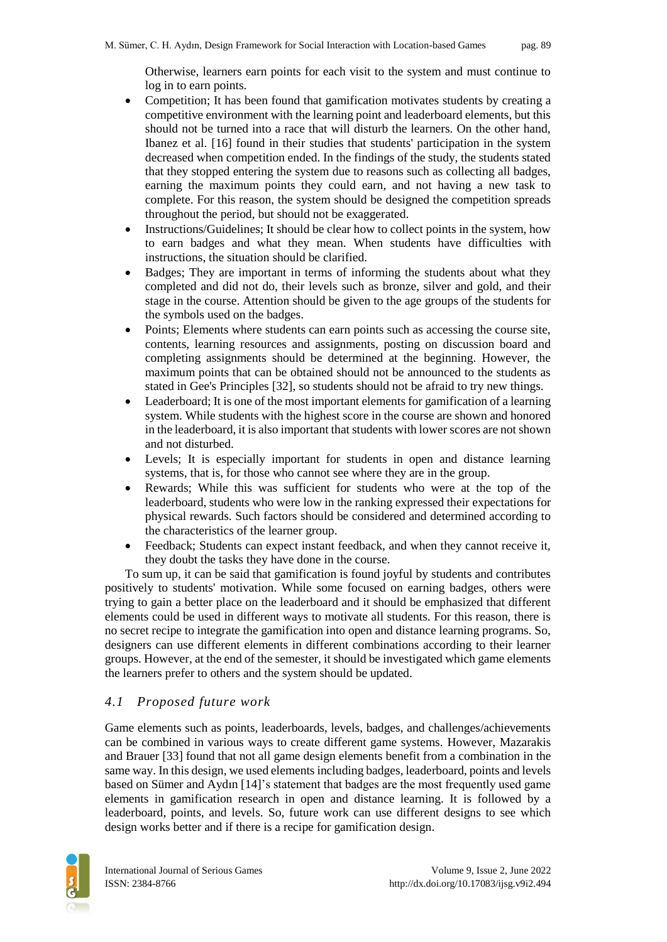Otherwise, learners earn points for each visit to the system and must continue to log in to earn points.

- Competition; It has been found that gamification motivates students by creating a competitive environment with the learning point and leaderboard elements, but this should not be turned into a race that will disturb the learners. On the other hand, Ibanez et al. [16] found in their studies that students' participation in the system decreased when competition ended. In the findings of the study, the students stated that they stopped entering the system due to reasons such as collecting all badges, earning the maximum points they could earn, and not having a new task to complete. For this reason, the system should be designed the competition spreads throughout the period, but should not be exaggerated.
- Instructions/Guidelines; It should be clear how to collect points in the system, how to earn badges and what they mean. When students have difficulties with instructions, the situation should be clarified.
- Badges; They are important in terms of informing the students about what they completed and did not do, their levels such as bronze, silver and gold, and their stage in the course. Attention should be given to the age groups of the students for the symbols used on the badges.
- Points; Elements where students can earn points such as accessing the course site, contents, learning resources and assignments, posting on discussion board and completing assignments should be determined at the beginning. However, the maximum points that can be obtained should not be announced to the students as stated in Gee's Principles [32], so students should not be afraid to try new things.
- Leaderboard; It is one of the most important elements for gamification of a learning system. While students with the highest score in the course are shown and honored in the leaderboard, it is also important that students with lower scores are not shown and not disturbed.
- Levels; It is especially important for students in open and distance learning systems, that is, for those who cannot see where they are in the group.
- Rewards; While this was sufficient for students who were at the top of the leaderboard, students who were low in the ranking expressed their expectations for physical rewards. Such factors should be considered and determined according to the characteristics of the learner group.
- Feedback; Students can expect instant feedback, and when they cannot receive it, they doubt the tasks they have done in the course.

To sum up, it can be said that gamification is found joyful by students and contributes positively to students' motivation. While some focused on earning badges, others were trying to gain a better place on the leaderboard and it should be emphasized that different elements could be used in different ways to motivate all students. For this reason, there is no secret recipe to integrate the gamification into open and distance learning programs. So, designers can use different elements in different combinations according to their learner groups. However, at the end of the semester, it should be investigated which game elements the learners prefer to others and the system should be updated.

### *4.1 Proposed future work*

Game elements such as points, leaderboards, levels, badges, and challenges/achievements can be combined in various ways to create different game systems. However, Mazarakis and Brauer [33] found that not all game design elements benefit from a combination in the same way. In this design, we used elements including badges, leaderboard, points and levels based on Sümer and Aydın [14]'s statement that badges are the most frequently used game elements in gamification research in open and distance learning. It is followed by a leaderboard, points, and levels. So, future work can use different designs to see which design works better and if there is a recipe for gamification design.

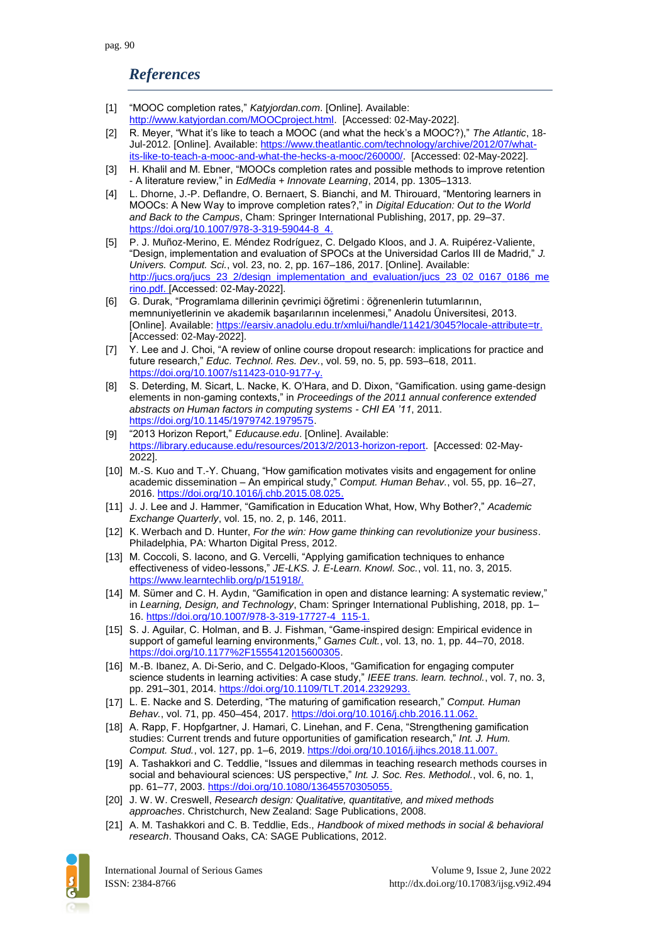## *References*

- [1] "MOOC completion rates," *Katyjordan.com*. [Online]. Available: [http://www.katyjordan.com/MOOCproject.html.](http://www.katyjordan.com/MOOCproject.html) [Accessed: 02-May-2022].
- [2] R. Meyer, "What it's like to teach a MOOC (and what the heck's a MOOC?)," *The Atlantic*, 18- Jul-2012. [Online]. Available[: https://www.theatlantic.com/technology/archive/2012/07/what](https://www.theatlantic.com/technology/archive/2012/07/what-its-like-to-teach-a-mooc-and-what-the-hecks-a-mooc/260000/)[its-like-to-teach-a-mooc-and-what-the-hecks-a-mooc/260000/.](https://www.theatlantic.com/technology/archive/2012/07/what-its-like-to-teach-a-mooc-and-what-the-hecks-a-mooc/260000/) [Accessed: 02-May-2022].
- [3] H. Khalil and M. Ebner, "MOOCs completion rates and possible methods to improve retention - A literature review," in *EdMedia + Innovate Learning*, 2014, pp. 1305–1313.
- [4] L. Dhorne, J.-P. Deflandre, O. Bernaert, S. Bianchi, and M. Thirouard, "Mentoring learners in MOOCs: A New Way to improve completion rates?," in *Digital Education: Out to the World and Back to the Campus*, Cham: Springer International Publishing, 2017, pp. 29–37. [https://doi.org/10.1007/978-3-319-59044-8\\_4.](https://doi.org/10.1007/978-3-319-59044-8_4)
- [5] P. J. Muñoz-Merino, E. Méndez Rodríguez, C. Delgado Kloos, and J. A. Ruipérez-Valiente, "Design, implementation and evaluation of SPOCs at the Universidad Carlos III de Madrid," *J. Univers. Comput. Sci.*, vol. 23, no. 2, pp. 167–186, 2017. [Online]. Available: [http://jucs.org/jucs\\_23\\_2/design\\_implementation\\_and\\_evaluation/jucs\\_23\\_02\\_0167\\_0186\\_me](http://jucs.org/jucs_23_2/design_implementation_and_evaluation/jucs_23_02_0167_0186_merino.pdf) [rino.pdf.](http://jucs.org/jucs_23_2/design_implementation_and_evaluation/jucs_23_02_0167_0186_merino.pdf) [Accessed: 02-May-2022].
- [6] G. Durak, "Programlama dillerinin çevrimiçi öğretimi : öğrenenlerin tutumlarının, memnuniyetlerinin ve akademik başarılarının incelenmesi," Anadolu Üniversitesi, 2013. [Online]. Available: [https://earsiv.anadolu.edu.tr/xmlui/handle/11421/3045?locale-attribute=tr.](https://earsiv.anadolu.edu.tr/xmlui/handle/11421/3045?locale-attribute=tr) [Accessed: 02-May-2022].
- [7] Y. Lee and J. Choi, "A review of online course dropout research: implications for practice and future research," *Educ. Technol. Res. Dev.*, vol. 59, no. 5, pp. 593–618, 2011. [https://doi.org/10.1007/s11423-010-9177-y.](https://doi.org/10.1007/s11423-010-9177-y)
- [8] S. Deterding, M. Sicart, L. Nacke, K. O'Hara, and D. Dixon, "Gamification. using game-design elements in non-gaming contexts," in *Proceedings of the 2011 annual conference extended abstracts on Human factors in computing systems - CHI EA '11*, 2011. [https://doi.org/10.1145/1979742.1979575.](https://doi.org/10.1145/1979742.1979575)
- [9] "2013 Horizon Report," *Educause.edu*. [Online]. Available: [https://library.educause.edu/resources/2013/2/2013-horizon-report.](https://library.educause.edu/resources/2013/2/2013-horizon-report) [Accessed: 02-May-2022].
- [10] M.-S. Kuo and T.-Y. Chuang, "How gamification motivates visits and engagement for online academic dissemination – An empirical study," *Comput. Human Behav.*, vol. 55, pp. 16–27, 2016. [https://doi.org/10.1016/j.chb.2015.08.025.](https://doi.org/10.1016/j.chb.2015.08.025)
- [11] J. J. Lee and J. Hammer, "Gamification in Education What, How, Why Bother?," *Academic Exchange Quarterly*, vol. 15, no. 2, p. 146, 2011.
- [12] K. Werbach and D. Hunter, *For the win: How game thinking can revolutionize your business*. Philadelphia, PA: Wharton Digital Press, 2012.
- [13] M. Coccoli, S. Iacono, and G. Vercelli, "Applying gamification techniques to enhance effectiveness of video-lessons," *JE-LKS. J. E-Learn. Knowl. Soc.*, vol. 11, no. 3, 2015. https://www.learntechlib.org/p/151918/
- [14] M. Sümer and C. H. Aydın, "Gamification in open and distance learning: A systematic review," in *Learning, Design, and Technology*, Cham: Springer International Publishing, 2018, pp. 1– 16. [https://doi.org/10.1007/978-3-319-17727-4\\_115-1.](https://doi.org/10.1007/978-3-319-17727-4_115-1)
- [15] S. J. Aguilar, C. Holman, and B. J. Fishman, "Game-inspired design: Empirical evidence in support of gameful learning environments," *Games Cult.*, vol. 13, no. 1, pp. 44–70, 2018. [https://doi.org/10.1177%2F1555412015600305.](https://doi.org/10.1177%2F1555412015600305)
- [16] M.-B. Ibanez, A. Di-Serio, and C. Delgado-Kloos, "Gamification for engaging computer science students in learning activities: A case study," *IEEE trans. learn. technol.*, vol. 7, no. 3, pp. 291–301, 2014. [https://doi.org/10.1109/TLT.2014.2329293.](https://doi.org/10.1109/TLT.2014.2329293)
- [17] L. E. Nacke and S. Deterding, "The maturing of gamification research," *Comput. Human Behav.*, vol. 71, pp. 450–454, 2017. [https://doi.org/10.1016/j.chb.2016.11.062.](https://doi.org/10.1016/j.chb.2016.11.062)
- [18] A. Rapp, F. Hopfgartner, J. Hamari, C. Linehan, and F. Cena, "Strengthening gamification studies: Current trends and future opportunities of gamification research," *Int. J. Hum. Comput. Stud.*, vol. 127, pp. 1–6, 2019. [https://doi.org/10.1016/j.ijhcs.2018.11.007.](https://doi.org/10.1016/j.ijhcs.2018.11.007)
- [19] A. Tashakkori and C. Teddlie, "Issues and dilemmas in teaching research methods courses in social and behavioural sciences: US perspective," *Int. J. Soc. Res. Methodol.*, vol. 6, no. 1, pp. 61–77, 2003. [https://doi.org/10.1080/13645570305055.](https://doi.org/10.1080/13645570305055)
- [20] J. W. W. Creswell, *Research design: Qualitative, quantitative, and mixed methods approaches*. Christchurch, New Zealand: Sage Publications, 2008.
- [21] A. M. Tashakkori and C. B. Teddlie, Eds., *Handbook of mixed methods in social & behavioral research*. Thousand Oaks, CA: SAGE Publications, 2012.